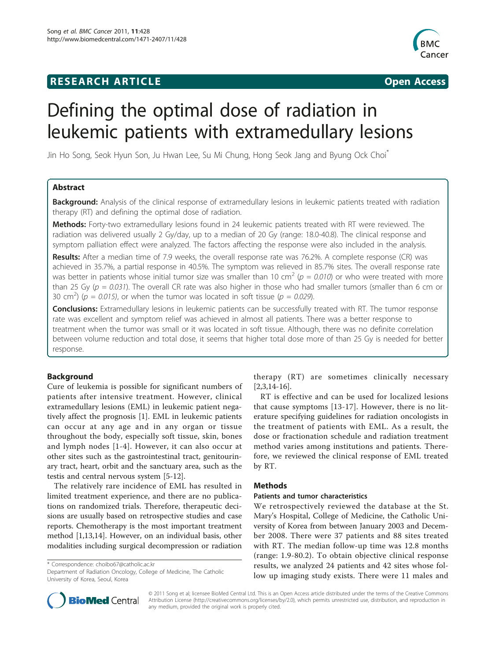## **RESEARCH ARTICLE CONSUMING A RESEARCH ARTICLE**



# Defining the optimal dose of radiation in leukemic patients with extramedullary lesions

Jin Ho Song, Seok Hyun Son, Ju Hwan Lee, Su Mi Chung, Hong Seok Jang and Byung Ock Choi\*

## Abstract

Background: Analysis of the clinical response of extramedullary lesions in leukemic patients treated with radiation therapy (RT) and defining the optimal dose of radiation.

Methods: Forty-two extramedullary lesions found in 24 leukemic patients treated with RT were reviewed. The radiation was delivered usually 2 Gy/day, up to a median of 20 Gy (range: 18.0-40.8). The clinical response and symptom palliation effect were analyzed. The factors affecting the response were also included in the analysis.

Results: After a median time of 7.9 weeks, the overall response rate was 76.2%. A complete response (CR) was achieved in 35.7%, a partial response in 40.5%. The symptom was relieved in 85.7% sites. The overall response rate was better in patients whose initial tumor size was smaller than 10 cm<sup>2</sup> ( $p = 0.010$ ) or who were treated with more than 25 Gy ( $p = 0.031$ ). The overall CR rate was also higher in those who had smaller tumors (smaller than 6 cm or 30 cm<sup>2</sup>) ( $p = 0.015$ ), or when the tumor was located in soft tissue ( $p = 0.029$ ).

Conclusions: Extramedullary lesions in leukemic patients can be successfully treated with RT. The tumor response rate was excellent and symptom relief was achieved in almost all patients. There was a better response to treatment when the tumor was small or it was located in soft tissue. Although, there was no definite correlation between volume reduction and total dose, it seems that higher total dose more of than 25 Gy is needed for better response.

## Background

Cure of leukemia is possible for significant numbers of patients after intensive treatment. However, clinical extramedullary lesions (EML) in leukemic patient negatively affect the prognosis [[1\]](#page-5-0). EML in leukemic patients can occur at any age and in any organ or tissue throughout the body, especially soft tissue, skin, bones and lymph nodes [[1-4\]](#page-5-0). However, it can also occur at other sites such as the gastrointestinal tract, genitourinary tract, heart, orbit and the sanctuary area, such as the testis and central nervous system [\[5](#page-5-0)-[12](#page-5-0)].

The relatively rare incidence of EML has resulted in limited treatment experience, and there are no publications on randomized trials. Therefore, therapeutic decisions are usually based on retrospective studies and case reports. Chemotherapy is the most important treatment method [\[1,13,14](#page-5-0)]. However, on an individual basis, other modalities including surgical decompression or radiation

\* Correspondence: [choibo67@catholic.ac.kr](mailto:choibo67@catholic.ac.kr)

Department of Radiation Oncology, College of Medicine, The Catholic University of Korea, Seoul, Korea



RT is effective and can be used for localized lesions that cause symptoms [[13-17\]](#page-5-0). However, there is no literature specifying guidelines for radiation oncologists in the treatment of patients with EML. As a result, the dose or fractionation schedule and radiation treatment method varies among institutions and patients. Therefore, we reviewed the clinical response of EML treated by RT.

## Methods

## Patients and tumor characteristics

We retrospectively reviewed the database at the St. Mary's Hospital, College of Medicine, the Catholic University of Korea from between January 2003 and December 2008. There were 37 patients and 88 sites treated with RT. The median follow-up time was 12.8 months (range: 1.9-80.2). To obtain objective clinical response results, we analyzed 24 patients and 42 sites whose follow up imaging study exists. There were 11 males and



© 2011 Song et al; licensee BioMed Central Ltd. This is an Open Access article distributed under the terms of the Creative Commons Attribution License [\(http://creativecommons.org/licenses/by/2.0](http://creativecommons.org/licenses/by/2.0)), which permits unrestricted use, distribution, and reproduction in any medium, provided the original work is properly cited.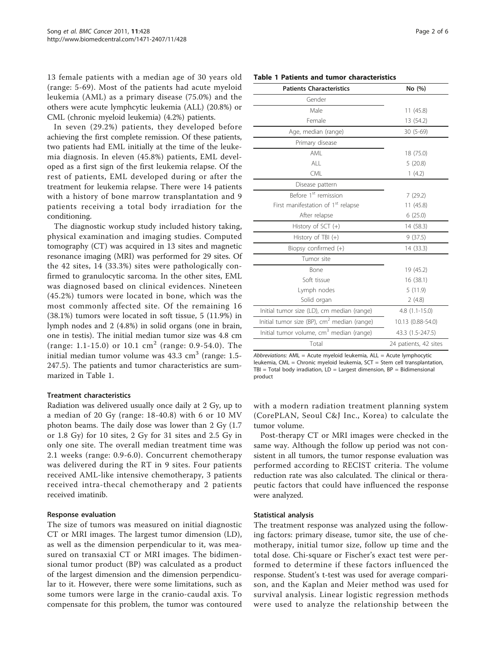13 female patients with a median age of 30 years old (range: 5-69). Most of the patients had acute myeloid leukemia (AML) as a primary disease (75.0%) and the others were acute lymphcytic leukemia (ALL) (20.8%) or CML (chronic myeloid leukemia) (4.2%) patients.

In seven (29.2%) patients, they developed before achieving the first complete remission. Of these patients, two patients had EML initially at the time of the leukemia diagnosis. In eleven (45.8%) patients, EML developed as a first sign of the first leukemia relapse. Of the rest of patients, EML developed during or after the treatment for leukemia relapse. There were 14 patients with a history of bone marrow transplantation and 9 patients receiving a total body irradiation for the conditioning.

The diagnostic workup study included history taking, physical examination and imaging studies. Computed tomography (CT) was acquired in 13 sites and magnetic resonance imaging (MRI) was performed for 29 sites. Of the 42 sites, 14 (33.3%) sites were pathologically confirmed to granulocytic sarcoma. In the other sites, EML was diagnosed based on clinical evidences. Nineteen (45.2%) tumors were located in bone, which was the most commonly affected site. Of the remaining 16 (38.1%) tumors were located in soft tissue, 5 (11.9%) in lymph nodes and 2 (4.8%) in solid organs (one in brain, one in testis). The initial median tumor size was 4.8 cm (range: 1.1-15.0) or 10.1  $\text{cm}^2$  (range: 0.9-54.0). The initial median tumor volume was  $43.3 \text{ cm}^3$  (range: 1.5-247.5). The patients and tumor characteristics are summarized in Table 1.

#### Treatment characteristics

Radiation was delivered usually once daily at 2 Gy, up to a median of 20 Gy (range: 18-40.8) with 6 or 10 MV photon beams. The daily dose was lower than 2 Gy (1.7 or 1.8 Gy) for 10 sites, 2 Gy for 31 sites and 2.5 Gy in only one site. The overall median treatment time was 2.1 weeks (range: 0.9-6.0). Concurrent chemotherapy was delivered during the RT in 9 sites. Four patients received AML-like intensive chemotherapy, 3 patients received intra-thecal chemotherapy and 2 patients received imatinib.

#### Response evaluation

The size of tumors was measured on initial diagnostic CT or MRI images. The largest tumor dimension (LD), as well as the dimension perpendicular to it, was measured on transaxial CT or MRI images. The bidimensional tumor product (BP) was calculated as a product of the largest dimension and the dimension perpendicular to it. However, there were some limitations, such as some tumors were large in the cranio-caudal axis. To compensate for this problem, the tumor was contoured

|  |  |  |  |  | Table 1 Patients and tumor characteristics |
|--|--|--|--|--|--------------------------------------------|
|--|--|--|--|--|--------------------------------------------|

| <b>Patients Characteristics</b>                         | No (%)                |
|---------------------------------------------------------|-----------------------|
| Gender                                                  |                       |
| Male                                                    | 11(45.8)              |
| Female                                                  | 13 (54.2)             |
| Age, median (range)                                     | 30 (5-69)             |
| Primary disease                                         |                       |
| AMI                                                     | 18 (75.0)             |
| AI                                                      | 5(20.8)               |
| <b>CML</b>                                              | 1(4.2)                |
| Disease pattern                                         |                       |
| Before 1 <sup>st</sup> remission                        | 7(29.2)               |
| First manifestation of 1 <sup>st</sup> relapse          | 11(45.8)              |
| After relapse                                           | 6(25.0)               |
| History of SCT $(+)$                                    | 14 (58.3)             |
| History of TBI $(+)$                                    | 9(37.5)               |
| Biopsy confirmed (+)                                    | 14 (33.3)             |
| Tumor site                                              |                       |
| Bone                                                    | 19 (45.2)             |
| Soft tissue                                             | 16(38.1)              |
| Lymph nodes                                             | 5(11.9)               |
| Solid organ                                             | 2(4.8)                |
| Initial tumor size (LD), cm median (range)              | $4.8(1.1-15.0)$       |
| Initial tumor size (BP), cm <sup>2</sup> median (range) | 10.13 (0.88-54.0)     |
| Initial tumor volume, cm <sup>3</sup> median (range)    | 43.3 (1.5-247.5)      |
| Total                                                   | 24 patients, 42 sites |

Abbreviations: AML = Acute myeloid leukemia, ALL = Acute lymphocytic leukemia, CML = Chronic myeloid leukemia, SCT = Stem cell transplantation, TBI = Total body irradiation,  $LD =$  Largest dimension,  $BP =$  Bidimensional product

with a modern radiation treatment planning system (CorePLAN, Seoul C&J Inc., Korea) to calculate the tumor volume.

Post-therapy CT or MRI images were checked in the same way. Although the follow up period was not consistent in all tumors, the tumor response evaluation was performed according to RECIST criteria. The volume reduction rate was also calculated. The clinical or therapeutic factors that could have influenced the response were analyzed.

#### Statistical analysis

The treatment response was analyzed using the following factors: primary disease, tumor site, the use of chemotherapy, initial tumor size, follow up time and the total dose. Chi-square or Fischer's exact test were performed to determine if these factors influenced the response. Student's t-test was used for average comparison, and the Kaplan and Meier method was used for survival analysis. Linear logistic regression methods were used to analyze the relationship between the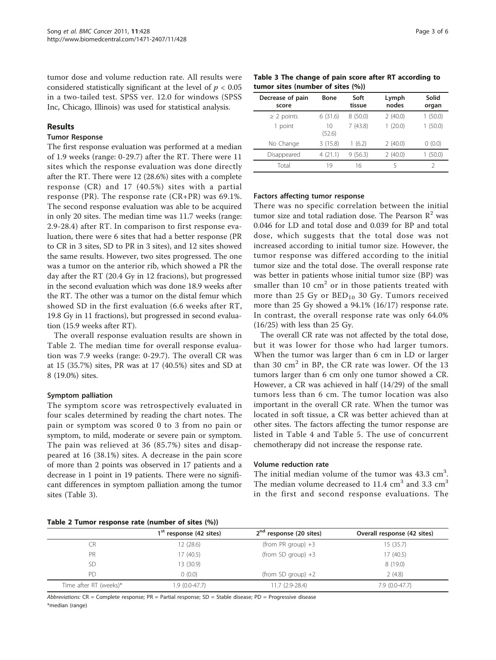tumor dose and volume reduction rate. All results were considered statistically significant at the level of  $p < 0.05$ in a two-tailed test. SPSS ver. 12.0 for windows (SPSS Inc, Chicago, Illinois) was used for statistical analysis.

### Results

#### Tumor Response

The first response evaluation was performed at a median of 1.9 weeks (range: 0-29.7) after the RT. There were 11 sites which the response evaluation was done directly after the RT. There were 12 (28.6%) sites with a complete response (CR) and 17 (40.5%) sites with a partial response (PR). The response rate (CR+PR) was 69.1%. The second response evaluation was able to be acquired in only 20 sites. The median time was 11.7 weeks (range: 2.9-28.4) after RT. In comparison to first response evaluation, there were 6 sites that had a better response (PR to CR in 3 sites, SD to PR in 3 sites), and 12 sites showed the same results. However, two sites progressed. The one was a tumor on the anterior rib, which showed a PR the day after the RT (20.4 Gy in 12 fracions), but progressed in the second evaluation which was done 18.9 weeks after the RT. The other was a tumor on the distal femur which showed SD in the first evaluation (6.6 weeks after RT, 19.8 Gy in 11 fractions), but progressed in second evaluation (15.9 weeks after RT).

The overall response evaluation results are shown in Table 2. The median time for overall response evaluation was 7.9 weeks (range: 0-29.7). The overall CR was at 15 (35.7%) sites, PR was at 17 (40.5%) sites and SD at 8 (19.0%) sites.

#### Symptom palliation

The symptom score was retrospectively evaluated in four scales determined by reading the chart notes. The pain or symptom was scored 0 to 3 from no pain or symptom, to mild, moderate or severe pain or symptom. The pain was relieved at 36 (85.7%) sites and disappeared at 16 (38.1%) sites. A decrease in the pain score of more than 2 points was observed in 17 patients and a decrease in 1 point in 19 patients. There were no significant differences in symptom palliation among the tumor sites (Table 3).

Table 3 The change of pain score after RT according to tumor sites (number of sites (%))

| Decrease of pain<br>score | <b>Bone</b>  | Soft<br>tissue | Lymph<br>nodes | Solid<br>organ |
|---------------------------|--------------|----------------|----------------|----------------|
| $\geq$ 2 points           | 6(31.6)      | 8(50.0)        | 2(40.0)        | 1(50.0)        |
| 1 point                   | 10<br>(52.6) | 7(43.8)        | 1(20.0)        | 1(50.0)        |
| No Change                 | 3(15.8)      | 1(6.2)         | 2(40.0)        | 0(0.0)         |
| Disappeared               | 4(21.1)      | 9(56.3)        | 2(40.0)        | 1(50.0)        |
| Total                     | 19           | 16             | 5              |                |

#### Factors affecting tumor response

There was no specific correlation between the initial tumor size and total radiation dose. The Pearson  $\mathbb{R}^2$  was 0.046 for LD and total dose and 0.039 for BP and total dose, which suggests that the total dose was not increased according to initial tumor size. However, the tumor response was differed according to the initial tumor size and the total dose. The overall response rate was better in patients whose initial tumor size (BP) was smaller than  $10 \text{ cm}^2$  or in those patients treated with more than 25 Gy or  $BED_{10}$  30 Gy. Tumors received more than 25 Gy showed a 94.1% (16/17) response rate. In contrast, the overall response rate was only 64.0%  $(16/25)$  with less than 25 Gy.

The overall CR rate was not affected by the total dose, but it was lower for those who had larger tumors. When the tumor was larger than 6 cm in LD or larger than 30  $\text{cm}^2$  in BP, the CR rate was lower. Of the 13 tumors larger than 6 cm only one tumor showed a CR. However, a CR was achieved in half (14/29) of the small tumors less than 6 cm. The tumor location was also important in the overall CR rate. When the tumor was located in soft tissue, a CR was better achieved than at other sites. The factors affecting the tumor response are listed in Table [4](#page-3-0) and Table [5.](#page-3-0) The use of concurrent chemotherapy did not increase the response rate.

#### Volume reduction rate

The initial median volume of the tumor was  $43.3 \text{ cm}^3$ . The median volume decreased to  $11.4 \text{ cm}^3$  and  $3.3 \text{ cm}^3$ in the first and second response evaluations. The

| Table 2 Tumor response rate (number of sites (%)) |  |  |
|---------------------------------------------------|--|--|
|---------------------------------------------------|--|--|

|                        | $1st$ response (42 sites) | 2 <sup>nd</sup> response (20 sites) | Overall response (42 sites) |
|------------------------|---------------------------|-------------------------------------|-----------------------------|
| <b>CR</b>              | 12 (28.6)                 | (from PR group) $+3$                | 15(35.7)                    |
| PR                     | 17 (40.5)                 | (from SD group) $+3$                | 17(40.5)                    |
| <b>SD</b>              | 13 (30.9)                 |                                     | 8 (19.0)                    |
| P <sub>D</sub>         | 0(0.0)                    | (from SD group) $+2$                | 2(4.8)                      |
| Time after RT (weeks)* | $1.9(0.0-47.7)$           | $11.7(2.9-28.4)$                    | $7.9(0.0-47.7)$             |

Abbreviations: CR = Complete response; PR = Partial response; SD = Stable disease; PD = Progressive disease \*median (range)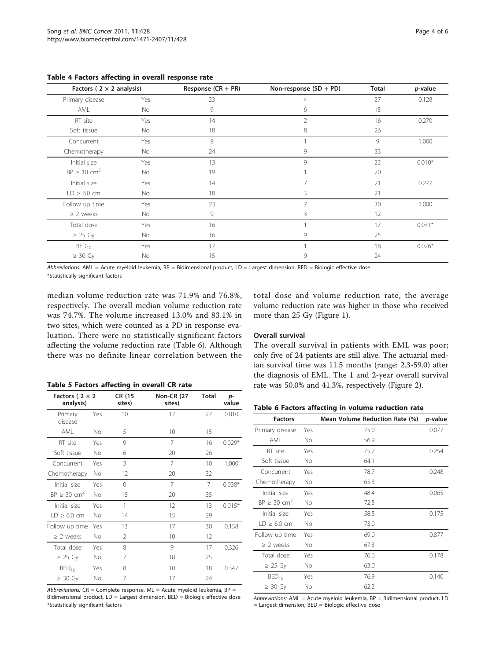| Factors ( $2 \times 2$ analysis) |     | Response $(CR + PR)$ | Non-response (SD + PD) | Total | <i>p</i> -value |
|----------------------------------|-----|----------------------|------------------------|-------|-----------------|
| Primary disease                  | Yes | 23                   | 4                      | 27    | 0.128           |
| AML                              | No  | 9                    | 6                      | 15    |                 |
| RT site                          | Yes | 14                   | $\overline{2}$         | 16    | 0.270           |
| Soft tissue                      | No  | 18                   | 8                      | 26    |                 |
| Concurrent                       | Yes | 8                    |                        | 9     | 1.000           |
| Chemotherapy                     | No  | 24                   | 9                      | 33    |                 |
| Initial size                     | Yes | 13                   | 9                      | 22    | $0.010*$        |
| $BP \geq 10$ cm <sup>2</sup>     | No  | 19                   |                        | 20    |                 |
| Initial size                     | Yes | 14                   | 7                      | 21    | 0.277           |
| $LD \geq 6.0$ cm                 | No  | 18                   | 3                      | 21    |                 |
| Follow up time                   | Yes | 23                   | 7                      | 30    | 1.000           |
| $\geq$ 2 weeks                   | No  | 9                    | 3                      | 12    |                 |
| Total dose                       | Yes | 16                   |                        | 17    | $0.031*$        |
| $\geq$ 25 Gy                     | No  | 16                   | 9                      | 25    |                 |
| $BED_{10}$                       | Yes | 17                   |                        | 18    | $0.026*$        |
| $\geq 30$ Gy                     | No  | 15                   | 9                      | 24    |                 |

<span id="page-3-0"></span>Table 4 Factors affecting in overall response rate

Abbreviations: AML = Acute myeloid leukemia, BP = Bidimensional product, LD = Largest dimension, BED = Biologic effective dose \*Statistically significant factors

median volume reduction rate was 71.9% and 76.8%, respectively. The overall median volume reduction rate was 74.7%. The volume increased 13.0% and 83.1% in two sites, which were counted as a PD in response evaluation. There were no statistically significant factors affecting the volume reduction rate (Table 6). Although there was no definite linear correlation between the

Table 5 Factors affecting in overall CR rate

| Factors ( $2 \times 2$ | CR (15<br>sites) | <b>Non-CR (27</b><br>sites) | <b>Total</b> | $p-$<br>value |
|------------------------|------------------|-----------------------------|--------------|---------------|
| Yes                    | 10               | 17                          | 27           | 0.810         |
| Nο                     | 5                | 10                          | 15           |               |
| Yes                    | 9                | $\overline{7}$              | 16           | $0.029*$      |
| Nο                     | 6                | 20                          | 26           |               |
| Yes                    | 3                | 7                           | 10           | 1.000         |
| No                     | 12               | 20                          | 32           |               |
| Yes                    | $\Omega$         | 7                           | 7            | $0.038*$      |
| Nο                     | 15               | 20                          | 35           |               |
| Yes                    | 1                | 12                          | 13           | $0.015*$      |
| Nο                     | 14               | 15                          | 29           |               |
| Yes                    | 13               | 17                          | 30           | 0.158         |
| Nο                     | $\mathcal{P}$    | 10                          | 12           |               |
| Yes                    | 8                | 9                           | 17           | 0.326         |
| No                     | 7                | 18                          | 25           |               |
| Yes                    | 8                | 10                          | 18           | 0.347         |
| Νo                     | 7                | 17                          | 24           |               |
|                        |                  |                             |              |               |

Abbreviations:  $CR = Complete response, ML = Acute myeloid leukemia, BP =$ Bidimensional product, LD = Largest dimension, BED = Biologic effective dose \*Statistically significant factors

total dose and volume reduction rate, the average volume reduction rate was higher in those who received more than 25 Gy (Figure [1](#page-4-0)).

### Overall survival

The overall survival in patients with EML was poor; only five of 24 patients are still alive. The actuarial median survival time was 11.5 months (range: 2.3-59.0) after the diagnosis of EML. The 1 and 2-year overall survival rate was 50.0% and 41.3%, respectively (Figure [2](#page-4-0)).

## Table 6 Factors affecting in volume reduction rate

| <b>Factors</b>               |     | Mean Volume Reduction Rate (%) | p-value |
|------------------------------|-----|--------------------------------|---------|
| Primary disease              | Yes | 75.0                           | 0.077   |
| AMI                          | No. | 56.9                           |         |
| RT site                      | Yes | 75.7                           | 0.254   |
| Soft tissue                  | No  | 64.1                           |         |
| Concurrent                   | Yes | 78.7                           | 0.248   |
| Chemotherapy                 | No. | 65.3                           |         |
| Initial size                 | Yes | 48.4                           | 0.065   |
| $BP \geq 30$ cm <sup>2</sup> | No. | 72.5                           |         |
| Initial size                 | Yes | 58.5                           | 0.175   |
| $LD \geq 6.0$ cm             | Νo  | 73.0                           |         |
| Follow up time               | Yes | 69.0                           | 0.877   |
| $\geq$ 2 weeks               | No  | 67.3                           |         |
| Total dose                   | Yes | 76.6                           | 0.178   |
| $\geq$ 25 Gy                 | Νo  | 63.0                           |         |
| $BED_{10}$                   | Yes | 76.9                           | 0.140   |
| $\geq$ 30 Gy                 | No  | 62.2                           |         |

Abbreviations: AML = Acute myeloid leukemia, BP = Bidimensional product, LD = Largest dimension, BED = Biologic effective dose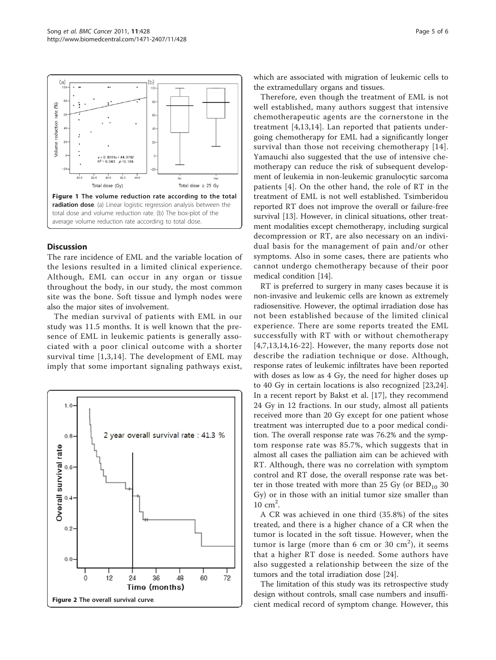<span id="page-4-0"></span>

## **Discussion**

The rare incidence of EML and the variable location of the lesions resulted in a limited clinical experience. Although, EML can occur in any organ or tissue throughout the body, in our study, the most common site was the bone. Soft tissue and lymph nodes were also the major sites of involvement.

The median survival of patients with EML in our study was 11.5 months. It is well known that the presence of EML in leukemic patients is generally associated with a poor clinical outcome with a shorter survival time [[1,3,14](#page-5-0)]. The development of EML may imply that some important signaling pathways exist,



which are associated with migration of leukemic cells to the extramedullary organs and tissues.

Therefore, even though the treatment of EML is not well established, many authors suggest that intensive chemotherapeutic agents are the cornerstone in the treatment [\[4,13,14\]](#page-5-0). Lan reported that patients undergoing chemotherapy for EML had a significantly longer survival than those not receiving chemotherapy [[14\]](#page-5-0). Yamauchi also suggested that the use of intensive chemotherapy can reduce the risk of subsequent development of leukemia in non-leukemic granulocytic sarcoma patients [[4\]](#page-5-0). On the other hand, the role of RT in the treatment of EML is not well established. Tsimberidou reported RT does not improve the overall or failure-free survival [[13](#page-5-0)]. However, in clinical situations, other treatment modalities except chemotherapy, including surgical decompression or RT, are also necessary on an individual basis for the management of pain and/or other symptoms. Also in some cases, there are patients who cannot undergo chemotherapy because of their poor medical condition [[14](#page-5-0)].

RT is preferred to surgery in many cases because it is non-invasive and leukemic cells are known as extremely radiosensitive. However, the optimal irradiation dose has not been established because of the limited clinical experience. There are some reports treated the EML successfully with RT with or without chemotherapy [[4,7,13,14,16](#page-5-0)-[22\]](#page-5-0). However, the many reports dose not describe the radiation technique or dose. Although, response rates of leukemic infiltrates have been reported with doses as low as 4 Gy, the need for higher doses up to 40 Gy in certain locations is also recognized [[23,24](#page-5-0)]. In a recent report by Bakst et al. [\[17](#page-5-0)], they recommend 24 Gy in 12 fractions. In our study, almost all patients received more than 20 Gy except for one patient whose treatment was interrupted due to a poor medical condition. The overall response rate was 76.2% and the symptom response rate was 85.7%, which suggests that in almost all cases the palliation aim can be achieved with RT. Although, there was no correlation with symptom control and RT dose, the overall response rate was better in those treated with more than 25 Gy (or  $BED_{10}$  30 Gy) or in those with an initial tumor size smaller than  $10 \text{ cm}^2$ .

A CR was achieved in one third (35.8%) of the sites treated, and there is a higher chance of a CR when the tumor is located in the soft tissue. However, when the tumor is large (more than  $6 \text{ cm}$  or  $30 \text{ cm}^2$ ), it seems that a higher RT dose is needed. Some authors have also suggested a relationship between the size of the tumors and the total irradiation dose [\[24](#page-5-0)].

The limitation of this study was its retrospective study design without controls, small case numbers and insufficient medical record of symptom change. However, this